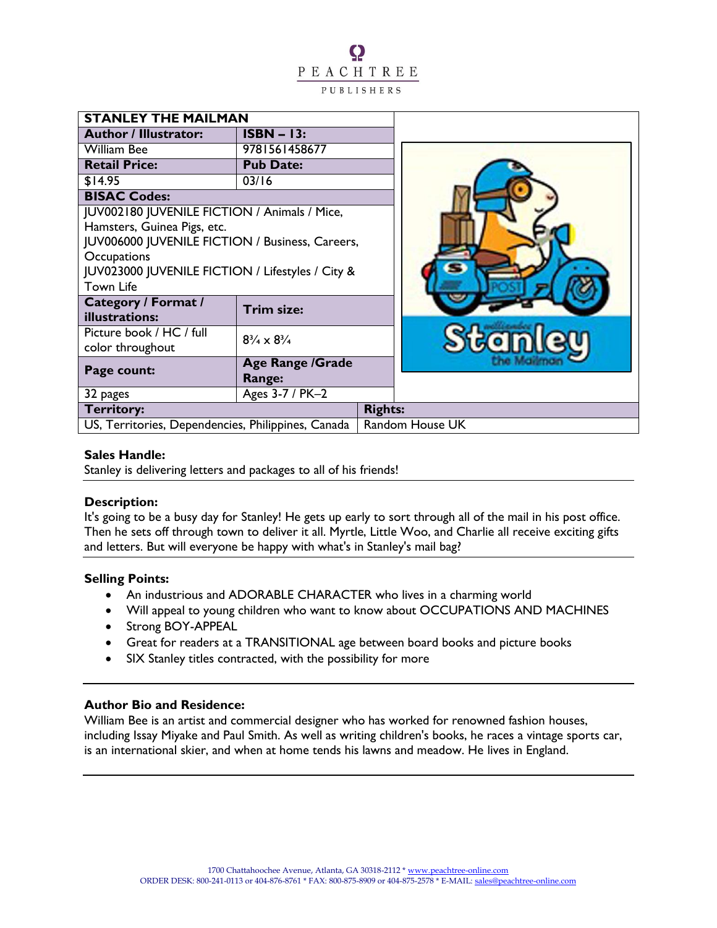Q PEACHTREE PUBLISHERS

| <b>STANLEY THE MAILMAN</b>                         |                                          |                 |
|----------------------------------------------------|------------------------------------------|-----------------|
| <b>Author / Illustrator:</b>                       | $ISBN - 13:$                             |                 |
| <b>William Bee</b>                                 | 9781561458677                            |                 |
| <b>Retail Price:</b>                               | <b>Pub Date:</b>                         |                 |
| \$14.95                                            | 03/16                                    |                 |
| <b>BISAC Codes:</b>                                |                                          |                 |
| JUV002180 JUVENILE FICTION / Animals / Mice,       |                                          |                 |
| Hamsters, Guinea Pigs, etc.                        |                                          |                 |
| JUV006000 JUVENILE FICTION / Business, Careers,    |                                          |                 |
| Occupations                                        |                                          |                 |
| JUV023000 JUVENILE FICTION / Lifestyles / City &   |                                          |                 |
| <b>Town Life</b>                                   |                                          |                 |
| <b>Category / Format /</b><br>illustrations:       | Trim size:                               |                 |
| Picture book / HC / full                           | $8\frac{3}{4} \times 8\frac{3}{4}$       |                 |
| color throughout                                   |                                          |                 |
| Page count:                                        | <b>Age Range /Grade</b><br><b>Range:</b> |                 |
| 32 pages                                           | Ages 3-7 / PK-2                          |                 |
| <b>Territory:</b>                                  |                                          | <b>Rights:</b>  |
| US, Territories, Dependencies, Philippines, Canada |                                          | Random House UK |

#### **Sales Handle:**

Stanley is delivering letters and packages to all of his friends!

### **Description:**

It's going to be a busy day for Stanley! He gets up early to sort through all of the mail in his post office. Then he sets off through town to deliver it all. Myrtle, Little Woo, and Charlie all receive exciting gifts and letters. But will everyone be happy with what's in Stanley's mail bag?

#### **Selling Points:**

- An industrious and ADORABLE CHARACTER who lives in a charming world
- Will appeal to young children who want to know about OCCUPATIONS AND MACHINES
- Strong BOY-APPEAL
- Great for readers at a TRANSITIONAL age between board books and picture books
- SIX Stanley titles contracted, with the possibility for more

## **Author Bio and Residence:**

William Bee is an artist and commercial designer who has worked for renowned fashion houses, including Issay Miyake and Paul Smith. As well as writing children's books, he races a vintage sports car, is an international skier, and when at home tends his lawns and meadow. He lives in England.